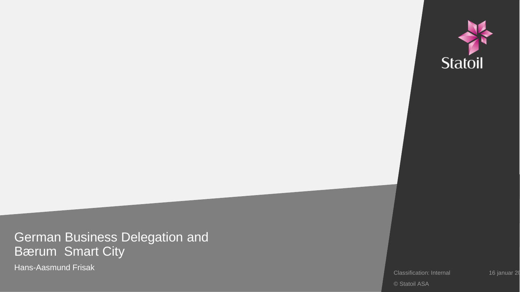

German Business Delegation and Bærum Smart City

Hans -Aasmund Frisak

Classification: Internal 16 januar 2018

© Statoil ASA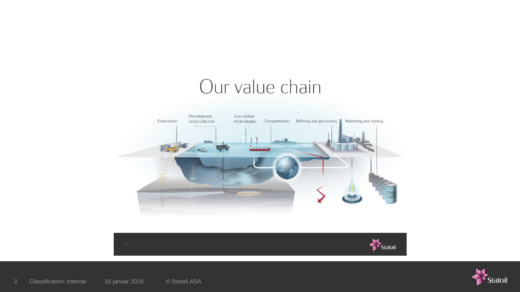# Our value chain





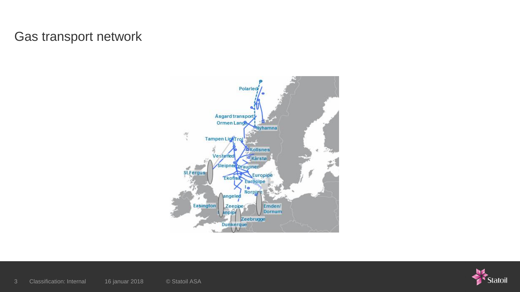### Gas transport network



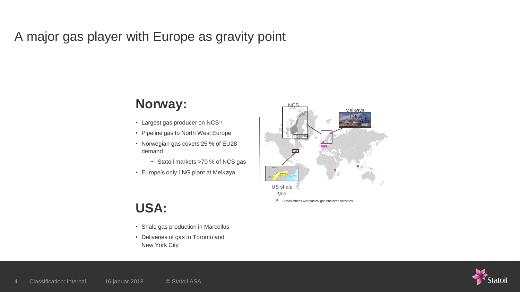### A major gas player with Europe as gravity point

#### **Norway:**

- Largest gas producer on NCS<sup>1)</sup>
- Pipeline gas to North West Europe
- Norwegian gas covers 25 % of EU28 demand
	- − Statoil markets >70 % of NCS gas
- Europe's only LNG plant at Melkøya

## US shale gas NCS Statoil offices with natural gas business activities Melkøya LNG

### **USA:**

- Shale gas production in Marcellus
- Deliveries of gas to Toronto and New York City

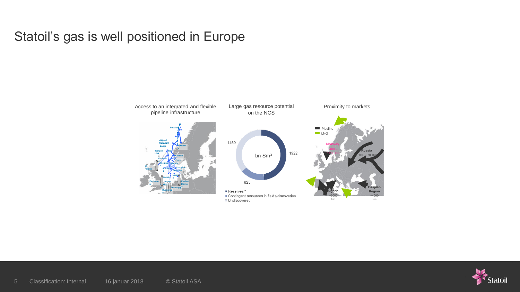#### Statoil's gas is well positioned in Europe



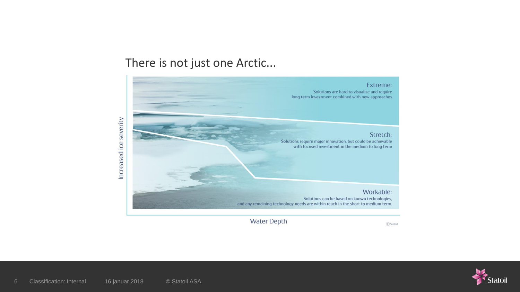#### There is not just one Arctic...



C Statoil

**Water Depth** 

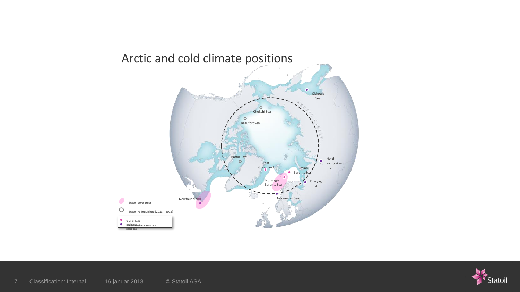

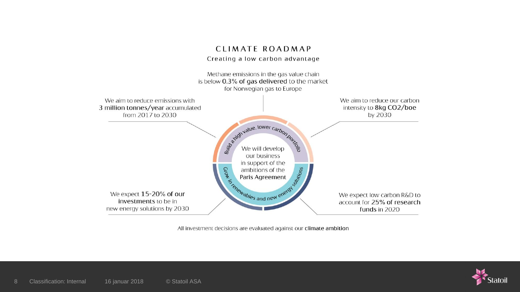#### CLIMATE ROADMAP Creating a low carbon advantage Methane emissions in the gas value chain is below 0.3% of gas delivered to the market for Norwegian gas to Europe We aim to reduce our carbon We aim to reduce emissions with 3 million tonnes/year accumulated intensity to 8kg CO2/boe from 2017 to 2030 by 2030

standard a tower carbon porter our business in support of the in support of the<br>ambitions of the<br>Paris Agreement<br>Sexten and new energy We expect 15-20% of our We expect low carbon R&D to investments to be in account for 25% of research new energy solutions by 2030 funds in 2020

All investment decisions are evaluated against our climate ambition

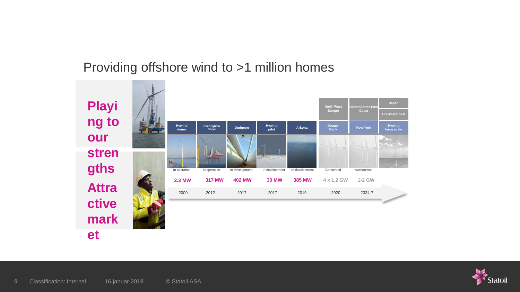### Providing offshore wind to >1 million homes



**et**

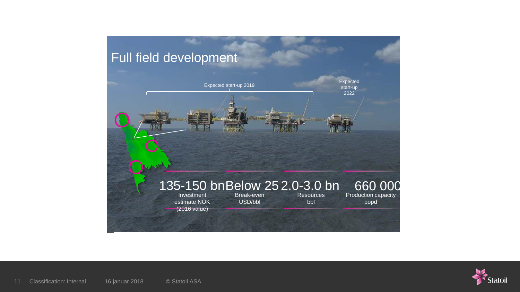

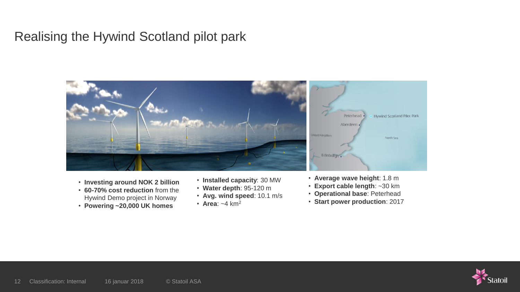#### Realising the Hywind Scotland pilot park



- **Investing around NOK 2 billion**
- **60-70% cost reduction** from the Hywind Demo project in Norway
- **Powering ~20,000 UK homes**
- **Installed capacity**: 30 MW
- **Water depth**: 95-120 m
- **Avg. wind speed**: 10.1 m/s
- **Area**: ~4 km<sup>2</sup>
- **Average wave height**: 1.8 m
- **Export cable length**: ~30 km
- **Operational base**: Peterhead
- **Start power production**: 2017

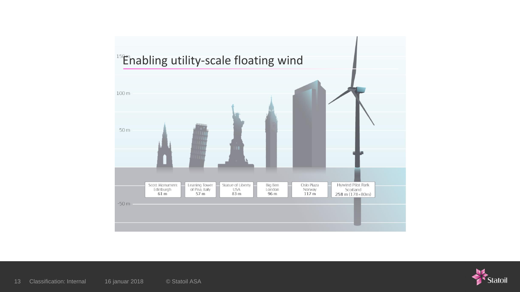

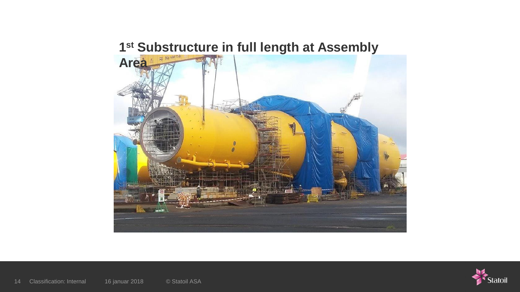#### **st Substructure in full length at Assembly**